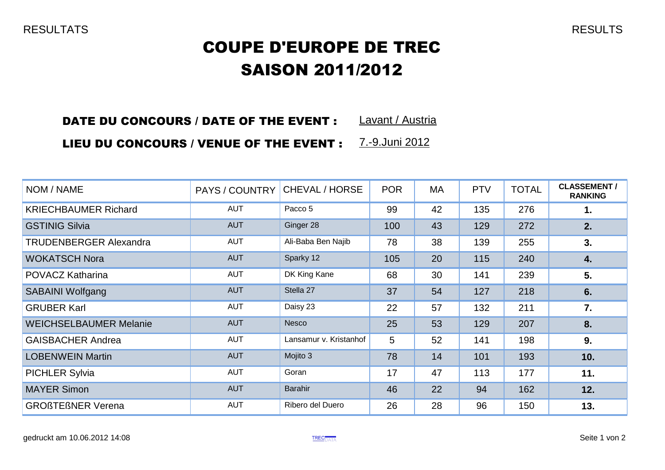## COUPE D'EUROPE DE TREC SAISON 2011/2012

### Lavant / Austria DATE DU CONCOURS / DATE OF THE EVENT :

### LIEU DU CONCOURS / VENUE OF THE EVENT : 7.-9.Juni 2012

| NOM / NAME                    | PAYS / COUNTRY | CHEVAL / HORSE         | <b>POR</b> | <b>MA</b> | <b>PTV</b> | <b>TOTAL</b> | <b>CLASSEMENT/</b><br><b>RANKING</b> |
|-------------------------------|----------------|------------------------|------------|-----------|------------|--------------|--------------------------------------|
| <b>KRIECHBAUMER Richard</b>   | <b>AUT</b>     | Pacco 5                | 99         | 42        | 135        | 276          | 1.                                   |
| <b>GSTINIG Silvia</b>         | <b>AUT</b>     | Ginger 28              | 100        | 43        | 129        | 272          | 2.                                   |
| <b>TRUDENBERGER Alexandra</b> | <b>AUT</b>     | Ali-Baba Ben Najib     | 78         | 38        | 139        | 255          | 3.                                   |
| <b>WOKATSCH Nora</b>          | <b>AUT</b>     | Sparky 12              | 105        | 20        | 115        | 240          | 4.                                   |
| POVACZ Katharina              | <b>AUT</b>     | DK King Kane           | 68         | 30        | 141        | 239          | 5.                                   |
| <b>SABAINI Wolfgang</b>       | <b>AUT</b>     | Stella 27              | 37         | 54        | 127        | 218          | 6.                                   |
| <b>GRUBER Karl</b>            | <b>AUT</b>     | Daisy 23               | 22         | 57        | 132        | 211          | 7.                                   |
| <b>WEICHSELBAUMER Melanie</b> | <b>AUT</b>     | Nesco                  | 25         | 53        | 129        | 207          | 8.                                   |
| <b>GAISBACHER Andrea</b>      | <b>AUT</b>     | Lansamur v. Kristanhof | 5          | 52        | 141        | 198          | 9.                                   |
| <b>LOBENWEIN Martin</b>       | <b>AUT</b>     | Mojito 3               | 78         | 14        | 101        | 193          | 10.                                  |
| <b>PICHLER Sylvia</b>         | <b>AUT</b>     | Goran                  | 17         | 47        | 113        | 177          | 11.                                  |
| <b>MAYER Simon</b>            | <b>AUT</b>     | <b>Barahir</b>         | 46         | 22        | 94         | 162          | 12.                                  |
| <b>GROßTEßNER Verena</b>      | <b>AUT</b>     | Ribero del Duero       | 26         | 28        | 96         | 150          | 13.                                  |